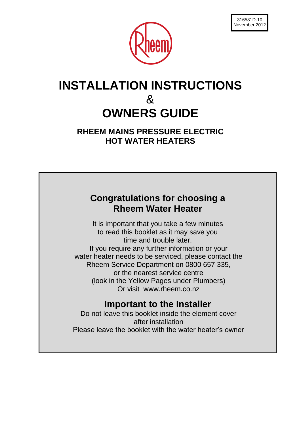

# **INSTALLATION INSTRUCTIONS** & **OWNERS GUIDE**

**RHEEM MAINS PRESSURE ELECTRIC HOT WATER HEATERS**

## **Congratulations for choosing a Rheem Water Heater**

It is important that you take a few minutes to read this booklet as it may save you time and trouble later. If you require any further information or your water heater needs to be serviced, please contact the Rheem Service Department on 0800 657 335, or the nearest service centre (look in the Yellow Pages under Plumbers) Or visit www.rheem.co.nz

## **Important to the Installer**

Do not leave this booklet inside the element cover after installation Please leave the booklet with the water heater"s owner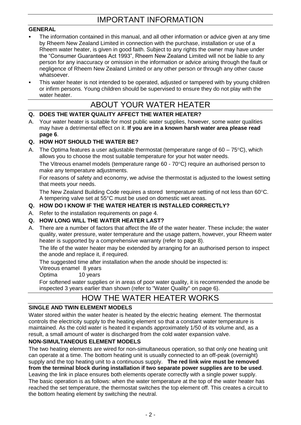## IMPORTANT INFORMATION

### **GENERAL**

- The information contained in this manual, and all other information or advice given at any time by Rheem New Zealand Limited in connection with the purchase, installation or use of a Rheem water heater, is given in good faith. Subject to any rights the owner may have under the "Consumer Guarantees Act 1993", Rheem New Zealand Limited will not be liable to any person for any inaccuracy or omission in the information or advice arising through the fault or negligence of Rheem New Zealand Limited or any other person or through any other cause whatsoever.
- This water heater is not intended to be operated, adjusted or tampered with by young children or infirm persons. Young children should be supervised to ensure they do not play with the water heater.

## ABOUT YOUR WATER HEATER

## **Q. DOES THE WATER QUALITY AFFECT THE WATER HEATER?**

A. Your water heater is suitable for most public water supplies, however, some water qualities may have a detrimental effect on it. **If you are in a known harsh water area please read page 6**.

## **Q. HOW HOT SHOULD THE WATER BE?**

A. The Optima features a user adjustable thermostat (temperature range of  $60 - 75^{\circ}$ C), which allows you to choose the most suitable temperature for your hot water needs.

The Vitreous enamel models (temperature range  $60 - 70^{\circ}$ C) require an authorised person to make any temperature adjustments.

For reasons of safety and economy, we advise the thermostat is adjusted to the lowest setting that meets your needs.

The New Zealand Building Code requires a stored temperature setting of not less than  $60^{\circ}$ C. A tempering valve set at 55°C must be used on domestic wet areas.

### **Q. HOW DO I KNOW IF THE WATER HEATER IS INSTALLED CORRECTLY?**

A. Refer to the installation requirements on page 4.

### **Q. HOW LONG WILL THE WATER HEATER LAST?**

A. There are a number of factors that affect the life of the water heater. These include; the water quality, water pressure, water temperature and the usage pattern, however, your Rheem water heater is supported by a comprehensive warranty (refer to page 8).

The life of the water heater may be extended by arranging for an authorised person to inspect the anode and replace it, if required.

The suggested time after installation when the anode should be inspected is:

Vitreous enamel 8 years

Optima 10 years

For softened water supplies or in areas of poor water quality, it is recommended the anode be inspected 3 years earlier than shown (refer to "Water Quality" on page 6).

## HOW THE WATER HEATER WORKS

### **SINGLE AND TWIN ELEMENT MODELS**

Water stored within the water heater is heated by the electric heating element. The thermostat controls the electricity supply to the heating element so that a constant water temperature is maintained. As the cold water is heated it expands approximately 1/50 of its volume and, as a result, a small amount of water is discharged from the cold water expansion valve.

### **NON-SIMULTANEOUS ELEMENT MODELS**

The two heating elements are wired for non-simultaneous operation, so that only one heating unit can operate at a time. The bottom heating unit is usually connected to an off-peak (overnight) supply and the top heating unit to a continuous supply. **The red link wire must be removed from the terminal block during installation if two separate power supplies are to be used**. Leaving the link in place ensures both elements operate correctly with a single power supply. The basic operation is as follows: when the water temperature at the top of the water heater has reached the set temperature, the thermostat switches the top element off. This creates a circuit to the bottom heating element by switching the neutral.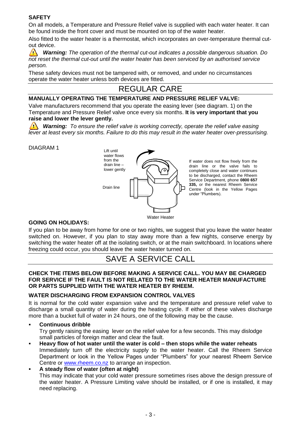## **SAFETY**

On all models, a Temperature and Pressure Relief valve is supplied with each water heater. It can be found inside the front cover and must be mounted on top of the water heater.

Also fitted to the water heater is a thermostat, which incorporates an over-temperature thermal cutout device.

 $\Delta$ *Warning: The operation of the thermal cut-out indicates a possible dangerous situation. Do not reset the thermal cut-out until the water heater has been serviced by an authorised service person.*

These safety devices must not be tampered with, or removed, and under no circumstances operate the water heater unless both devices are fitted.

## REGULAR CARE

#### **MANUALLY OPERATING THE TEMPERATURE AND PRESSURE RELIEF VALVE:**

Valve manufacturers recommend that you operate the easing lever (see diagram. 1) on the Temperature and Pressure Relief valve once every six months. **It is very important that you raise and lower the lever gently.**

**Warning:** To ensure the relief valve is working correctly, operate the relief valve easing *lever at least every six months. Failure to do this may result in the water heater over-pressurising.*

#### DIAGRAM 1



If water does not flow freely from the drain line or the valve fails to completely close and water continues to be discharged, contact the Rheem Service Department, phone **0800 657 335,** or the nearest Rheem Service Centre (look in the Yellow Pages under "Plumbers).

### **GOING ON HOLIDAYS:**

If you plan to be away from home for one or two nights, we suggest that you leave the water heater switched on. However, if you plan to stay away more than a few nights, conserve energy by switching the water heater off at the isolating switch, or at the main switchboard. In locations where freezing could occur, you should leave the water heater turned on.

## SAVE A SERVICE CALL

#### **CHECK THE ITEMS BELOW BEFORE MAKING A SERVICE CALL. YOU MAY BE CHARGED FOR SERVICE IF THE FAULT IS NOT RELATED TO THE WATER HEATER MANUFACTURE OR PARTS SUPPLIED WITH THE WATER HEATER BY RHEEM.**

#### **WATER DISCHARGING FROM EXPANSION CONTROL VALVES**

It is normal for the cold water expansion valve and the temperature and pressure relief valve to discharge a small quantity of water during the heating cycle. If either of these valves discharge more than a bucket full of water in 24 hours, one of the following may be the cause.

#### **Continuous dribble**

Try gently raising the easing lever on the relief valve for a few seconds. This may dislodge small particles of foreign matter and clear the fault.

 **Heavy flow of hot water until the water is cold – then stops while the water reheats** Immediately turn off the electricity supply to the water heater. Call the Rheem Service Department or look in the Yellow Pages under "Plumbers" for your nearest Rheem Service Centre or [www.rheem.co.nz](http://www.rheem.co.nz/) to arrange an inspection.

## **A steady flow of water (often at night)**

This may indicate that your cold water pressure sometimes rises above the design pressure of the water heater. A Pressure Limiting valve should be installed, or if one is installed, it may need replacing.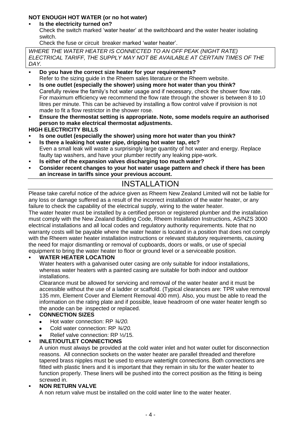## **NOT ENOUGH HOT WATER (or no hot water)**

### **Is the electricity turned on?**

Check the switch marked "water heater" at the switchboard and the water heater isolating switch.

Check the fuse or circuit breaker marked 'water heater'.

*WHERE THE WATER HEATER IS CONNECTED TO AN OFF PEAK (NIGHT RATE) ELECTRICAL TARIFF, THE SUPPLY MAY NOT BE AVAILABLE AT CERTAIN TIMES OF THE DAY.*

- **Do you have the correct size heater for your requirements?** Refer to the sizing guide in the Rheem sales literature or the Rheem website.
- **Is one outlet (especially the shower) using more hot water than you think?** Carefully review the family"s hot water usage and if necessary, check the shower flow rate. For maximum efficiency we recommend the flow rate through the shower is between 8 to 10 litres per minute. This can be achieved by installing a flow control valve if provision is not made to fit a flow restrictor in the shower rose.
- **Ensure the thermostat setting is appropriate. Note, some models require an authorised person to make electrical thermostat adjustments.**
- **HIGH ELECTRICITY BILLS**
- **Is one outlet (especially the shower) using more hot water than you think?**
- **Is there a leaking hot water pipe, dripping hot water tap, etc?** Even a small leak will waste a surprisingly large quantity of hot water and energy. Replace faulty tap washers, and have your plumber rectify any leaking pipe-work.
- **Is either of the expansion valves discharging too much water?**
- **Consider recent changes to your hot water usage pattern and check if there has been an increase in tariffs since your previous account.**

## INSTALLATION

Please take careful notice of the advice given as Rheem New Zealand Limited will not be liable for any loss or damage suffered as a result of the incorrect installation of the water heater, or any failure to check the capability of the electrical supply, wiring to the water heater.

The water heater must be installed by a certified person or registered plumber and the installation must comply with the New Zealand Building Code, Rheem Installation Instructions, AS/NZS 3000 electrical installations and all local codes and regulatory authority requirements. Note that no warranty costs will be payable where the water heater is located in a position that does not comply with the Rheem water heater installation instructions or relevant statutory requirements, causing the need for major dismantling or removal of cupboards, doors or walls, or use of special equipment to bring the water heater to floor or ground level or a serviceable position.

## **WATER HEATER LOCATION**

Water heaters with a galvanised outer casing are only suitable for indoor installations, whereas water heaters with a painted casing are suitable for both indoor and outdoor installations.

Clearance must be allowed for servicing and removal of the water heater and it must be accessible without the use of a ladder or scaffold. (Typical clearances are: TPR valve removal 135 mm, Element Cover and Element Removal 400 mm). Also, you must be able to read the information on the rating plate and if possible, leave headroom of one water heater length so the anode can be inspected or replaced.

## **CONNECTION SIZES**

- Hot water connection: RP *¾/20.*
- Cold water connection: RP *¾/20.*
- Relief valve connection: RP ½/15.

## **INLET/OUTLET CONNECTIONS**

A union must always be provided at the cold water inlet and hot water outlet for disconnection reasons. All connection sockets on the water heater are parallel threaded and therefore tapered brass nipples must be used to ensure watertight connections. Both connections are fitted with plastic liners and it is important that they remain in situ for the water heater to function properly. These liners will be pushed into the correct position as the fitting is being screwed in.

## **NON RETURN VALVE**

A non return valve must be installed on the cold water line to the water heater.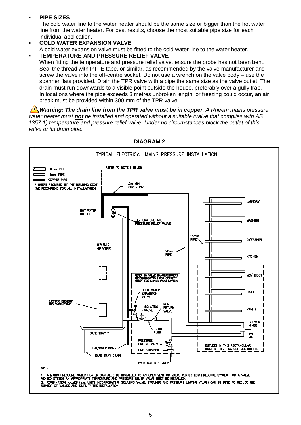#### **PIPE SIZES**

The cold water line to the water heater should be the same size or bigger than the hot water line from the water heater. For best results, choose the most suitable pipe size for each individual application.

#### **COLD WATER EXPANSION VALVE**

A cold water expansion valve must be fitted to the cold water line to the water heater.

#### **TEMPERATURE AND PRESSURE RELIEF VALVE**

When fitting the temperature and pressure relief valve, ensure the probe has not been bent. Seal the thread with PTFE tape, or similar, as recommended by the valve manufacturer and screw the valve into the off-centre socket. Do not use a wrench on the valve body – use the spanner flats provided. Drain the TPR valve with a pipe the same size as the valve outlet. The drain must run downwards to a visible point outside the house, preferably over a gully trap. In locations where the pipe exceeds 3 metres unbroken length, or freezing could occur, an air break must be provided within 300 mm of the TPR valve.

*Warning: The drain line from the TPR valve must be in copper. A Rheem mains pressure water heater must not be installed and operated without a suitable (valve that complies with AS 1357.1) temperature and pressure relief valve. Under no circumstances block the outlet of this valve or its drain pipe.*



**DIAGRAM 2:**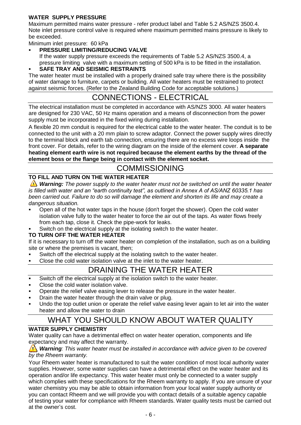## **WATER SUPPLY PRESSURE**

Maximum permitted mains water pressure - refer product label and Table 5.2 AS/NZS 3500.4. Note inlet pressure control valve is required where maximum permitted mains pressure is likely to be exceeded.

Minimum inlet pressure: 60 kPa

**PRESSURE LIMITING/REDUCING VALVE**

If the water supply pressure exceeds the requirements of Table 5.2 AS/NZS 3500.4, a pressure limiting valve with a maximum setting of 500 kPa is to be fitted in the installation.

**SAFE TRAY AND SEISMIC RESTRAINTS**

The water heater must be installed with a properly drained safe tray where there is the possibility of water damage to furniture, carpets or building. All water heaters must be restrained to protect against seismic forces. (Refer to the Zealand Building Code for acceptable solutions.)

## CONNECTIONS - ELECTRICAL

The electrical installation must be completed in accordance with AS/NZS 3000. All water heaters are designed for 230 VAC, 50 Hz mains operation and a means of disconnection from the power supply must be incorporated in the fixed wiring during installation.

A flexible 20 mm conduit is required for the electrical cable to the water heater. The conduit is to be connected to the unit with a 20 mm plain to screw adaptor. Connect the power supply wires directly to the terminal block and earth tab connection, ensuring there are no excess wire loops inside the front cover. For details, refer to the wiring diagram on the inside of the element cover. **A separate heating element earth wire is not required because the element earths by the thread of the element boss or the flange being in contact with the element socket.**

## COMMISSIONING

## **TO FILL AND TURN ON THE WATER HEATER**

**Warning:** The power supply to the water heater must not be switched on until the water heater *is filled with water and an "earth continuity test", as outlined in Annex A of AS/ANZ 60335.1 has been carried out. Failure to do so will damage the element and shorten its life and may create a dangerous situation.*

- Open all of the hot water taps in the house (don't forget the shower). Open the cold water isolation valve fully to the water heater to force the air out of the taps. As water flows freely from each tap, close it. Check the pipe-work for leaks.
- Switch on the electrical supply at the isolating switch to the water heater.

### **TO TURN OFF THE WATER HEATER**

If it is necessary to turn off the water heater on completion of the installation, such as on a building site or where the premises is vacant, then;

- Switch off the electrical supply at the isolating switch to the water heater.
- Close the cold water isolation valve at the inlet to the water heater.

## DRAINING THE WATER HEATER

- Switch off the electrical supply at the isolation switch to the water heater.
- Close the cold water isolation valve.
- Operate the relief valve easing lever to release the pressure in the water heater.
- Drain the water heater through the drain valve or plug.
- Undo the top outlet union or operate the relief valve easing lever again to let air into the water heater and allow the water to drain

## WHAT YOU SHOULD KNOW ABOUT WATER QUALITY

### **WATER SUPPLY CHEMISTRY**

Water quality can have a detrimental effect on water heater operation, components and life expectancy and may affect the warranty.

#### *Warning: This water heater must be installed in accordance with advice given to be covered by the Rheem warranty.*

Your Rheem water heater is manufactured to suit the water condition of most local authority water supplies. However, some water supplies can have a detrimental effect on the water heater and its operation and/or life expectancy. This water heater must only be connected to a water supply which complies with these specifications for the Rheem warranty to apply. If you are unsure of your water chemistry you may be able to obtain information from your local water supply authority or you can contact Rheem and we will provide you with contact details of a suitable agency capable of testing your water for compliance with Rheem standards. Water quality tests must be carried out at the owner"s cost.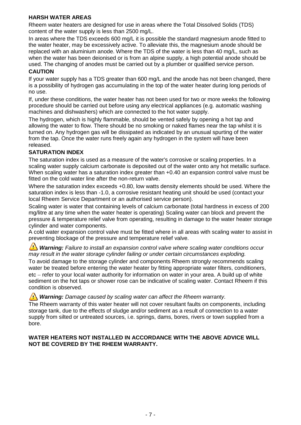## **HARSH WATER AREAS**

Rheem water heaters are designed for use in areas where the Total Dissolved Solids (TDS) content of the water supply is less than 2500 mg/L.

In areas where the TDS exceeds 600 mg/L it is possible the standard magnesium anode fitted to the water heater, may be excessively active. To alleviate this, the magnesium anode should be replaced with an aluminium anode. Where the TDS of the water is less than 40 mg/L, such as when the water has been deionised or is from an alpine supply, a high potential anode should be used. The changing of anodes must be carried out by a plumber or qualified service person. **CAUTION**

#### If your water supply has a TDS greater than 600 mg/L and the anode has not been changed, there is a possibility of hydrogen gas accumulating in the top of the water heater during long periods of no use.

If, under these conditions, the water heater has not been used for two or more weeks the following procedure should be carried out before using any electrical appliances (e.g. automatic washing machines and dishwashers) which are connected to the hot water supply.

The hydrogen, which is highly flammable, should be vented safely by opening a hot tap and allowing the water to flow. There should be no smoking or naked flames near the tap whilst it is turned on. Any hydrogen gas will be dissipated as indicated by an unusual spurting of the water from the tap. Once the water runs freely again any hydrogen in the system will have been released.

## **SATURATION INDEX**

The saturation index is used as a measure of the water's corrosive or scaling properties. In a scaling water supply calcium carbonate is deposited out of the water onto any hot metallic surface. When scaling water has a saturation index greater than  $+0.40$  an expansion control valve must be fitted on the cold water line after the non-return valve.

Where the saturation index exceeds +0.80, low watts density elements should be used. Where the saturation index is less than -1.0, a corrosive resistant heating unit should be used (contact your local Rheem Service Department or an authorised service person).

Scaling water is water that containing levels of calcium carbonate (total hardness in excess of 200 mg/litre at any time when the water heater is operating) Scaling water can block and prevent the pressure & temperature relief valve from operating, resulting in damage to the water heater storage cylinder and water components.

A cold water expansion control valve must be fitted where in all areas with scaling water to assist in preventing blockage of the pressure and temperature relief valve.

**Warning:** Failure to install an expansion control valve where scaling water conditions occur *may result in the water storage cylinder failing or under certain circumstances exploding.*

To avoid damage to the storage cylinder and components Rheem strongly recommends scaling water be treated before entering the water heater by fitting appropriate water filters, conditioners, etc – refer to your local water authority for information on water in your area. A build up of white sediment on the hot taps or shower rose can be indicative of scaling water. Contact Rheem if this condition is observed.

**Warning:** Damage caused by scaling water can affect the Rheem warranty.

The Rheem warranty of this water heater will not cover resultant faults on components, including storage tank, due to the effects of sludge and/or sediment as a result of connection to a water supply from silted or untreated sources, i.e. springs, dams, bores, rivers or town supplied from a bore.

#### **WATER HEATERS NOT INSTALLED IN ACCORDANCE WITH THE ABOVE ADVICE WILL NOT BE COVERED BY THE RHEEM WARRANTY.**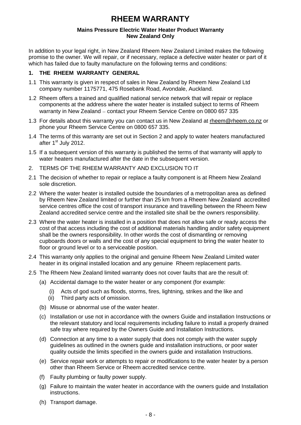## **RHEEM WARRANTY**

#### **Mains Pressure Electric Water Heater Product Warranty New Zealand Only**

In addition to your legal right, in New Zealand Rheem New Zealand Limited makes the following promise to the owner. We will repair, or if necessary, replace a defective water heater or part of it which has failed due to faulty manufacture on the following terms and conditions:

### **1. THE RHEEM WARRANTY GENERAL**

- 1.1 This warranty is given in respect of sales in New Zealand by Rheem New Zealand Ltd company number 1175771, 475 Rosebank Road, Avondale, Auckland.
- 1.2 Rheem offers a trained and qualified national service network that will repair or replace components at the address where the water heater is installed subject to terms of Rheem warranty in New Zealand - contact your Rheem Service Centre on 0800 657 335
- 1.3 For details about this warranty you can contact us in New Zealand at [rheem@rheem.co.nz](mailto:rheem@rheem.co.nz) or phone your Rheem Service Centre on 0800 657 335.
- 1.4 The terms of this warranty are set out in Section 2 and apply to water heaters manufactured after 1<sup>st</sup> July 2012.
- 1.5 If a subsequent version of this warranty is published the terms of that warranty will apply to water heaters manufactured after the date in the subsequent version.
- 2. TERMS OF THE RHEEM WARRANTY AND EXCLUSION TO IT
- 2.1 The decision of whether to repair or replace a faulty component is at Rheem New Zealand sole discretion.
- 2.2 Where the water heater is installed outside the boundaries of a metropolitan area as defined by Rheem New Zealand limited or further than 25 km from a Rheem New Zealand accredited service centres office the cost of transport insurance and travelling between the Rheem New Zealand accredited service centre and the installed site shall be the owners responsibility.
- 2.3 Where the water heater is installed in a position that does not allow safe or ready access the cost of that access including the cost of additional materials handling and/or safety equipment shall be the owners responsibility. In other words the cost of dismantling or removing cupboards doors or walls and the cost of any special equipment to bring the water heater to floor or ground level or to a serviceable position.
- 2.4 This warranty only applies to the original and genuine Rheem New Zealand Limited water heater in its original installed location and any genuine Rheem replacement parts.
- 2.5 The Rheem New Zealand limited warranty does not cover faults that are the result of:
	- (a) Accidental damage to the water heater or any component (for example:
		- (i) Acts of god such as floods, storms, fires, lightning, strikes and the like and
		- (ii) Third party acts of omission.
	- (b) Misuse or abnormal use of the water heater.
	- (c) Installation or use not in accordance with the owners Guide and installation Instructions or the relevant statutory and local requirements including failure to install a properly drained safe tray where required by the Owners Guide and Installation Instructions.
	- (d) Connection at any time to a water supply that does not comply with the water supply guidelines as outlined in the owners guide and installation instructions, or poor water quality outside the limits specified in the owners guide and installation Instructions.
	- (e) Service repair work or attempts to repair or modifications to the water heater by a person other than Rheem Service or Rheem accredited service centre.
	- (f) Faulty plumbing or faulty power supply.
	- (g) Failure to maintain the water heater in accordance with the owners guide and Installation instructions.
	- (h) Transport damage.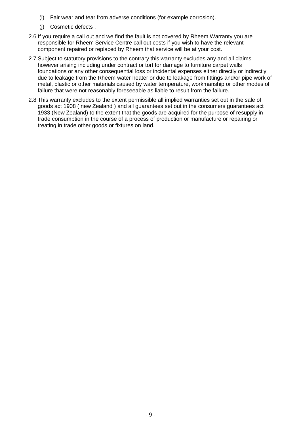- (i) Fair wear and tear from adverse conditions (for example corrosion).
- (j) Cosmetic defects .
- 2.6 If you require a call out and we find the fault is not covered by Rheem Warranty you are responsible for Rheem Service Centre call out costs if you wish to have the relevant component repaired or replaced by Rheem that service will be at your cost.
- 2.7 Subject to statutory provisions to the contrary this warranty excludes any and all claims however arising including under contract or tort for damage to furniture carpet walls foundations or any other consequential loss or incidental expenses either directly or indirectly due to leakage from the Rheem water heater or due to leakage from fittings and/or pipe work of metal, plastic or other materials caused by water temperature, workmanship or other modes of failure that were not reasonably foreseeable as liable to result from the failure.
- 2.8 This warranty excludes to the extent permissible all implied warranties set out in the sale of goods act 1908 ( new Zealand ) and all guarantees set out in the consumers guarantees act 1933 (New Zealand) to the extent that the goods are acquired for the purpose of resupply in trade consumption in the course of a process of production or manufacture or repairing or treating in trade other goods or fixtures on land.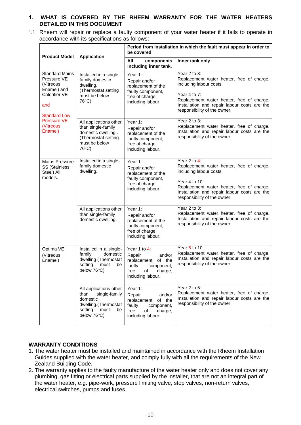#### **1. WHAT IS COVERED BY THE RHEEM WARRANTY FOR THE WATER HEATERS DETAILED IN THIS DOCUMENT**

1.1 Rheem will repair or replace a faulty component of your water heater if it fails to operate in accordance with its specifications as follows:

| <b>Product Model</b>                                                                                                                                          | <b>Application</b>                                                                                                          | Period from installation in which the fault must appear in order to<br>be covered                                               |                                                                                                                                                                                                                                    |
|---------------------------------------------------------------------------------------------------------------------------------------------------------------|-----------------------------------------------------------------------------------------------------------------------------|---------------------------------------------------------------------------------------------------------------------------------|------------------------------------------------------------------------------------------------------------------------------------------------------------------------------------------------------------------------------------|
|                                                                                                                                                               |                                                                                                                             | All<br>components<br>including inner tank.                                                                                      | Inner tank only                                                                                                                                                                                                                    |
| <b>Standard Mains</b><br>Pressure VE<br>(Vitreous<br>Enamel) and<br>Calorifier VE<br>and<br><b>Standard Low</b><br><b>Pressure VE</b><br>(Vitreous<br>Enamel) | Installed in a single-<br>family domestic<br>dwelling.<br>(Thermostat setting<br>must be below<br>76°C)                     | Year 1:<br>Repair and/or<br>replacement of the<br>faulty component,<br>free of charge,<br>including labour.                     | Year 2 to 3:<br>Replacement water heater, free of charge.<br>including labour costs.<br>Year 4 to 7:<br>Replacement water heater, free of charge.<br>Installation and repair labour costs are the<br>responsibility of the owner.  |
|                                                                                                                                                               | All applications other<br>than single-family<br>domestic dwelling.<br>(Thermostat setting<br>must be below<br>76°C)         | Year 1:<br>Repair and/or<br>replacement of the<br>faulty component,<br>free of charge,<br>including labour.                     | Year 2 to 3:<br>Replacement water heater, free of charge.<br>Installation and repair labour costs are the<br>responsibility of the owner.                                                                                          |
| <b>Mains Pressure</b><br><b>SS (Stainless</b><br>Steel) All<br>models.                                                                                        | Installed in a single-<br>family domestic<br>dwelling.                                                                      | Year 1:<br>Repair and/or<br>replacement of the<br>faulty component,<br>free of charge,<br>including labour.                     | Year 2 to 4:<br>Replacement water heater, free of charge.<br>including labour costs.<br>Year 4 to 10:<br>Replacement water heater, free of charge.<br>Installation and repair labour costs are the<br>responsibility of the owner. |
|                                                                                                                                                               | All applications other<br>than single-family<br>domestic dwelling.                                                          | Year 1:<br>Repair and/or<br>replacement of the<br>faulty component,<br>free of charge,<br>including labour.                     | Year 2 to 3:<br>Replacement water heater, free of charge.<br>Installation and repair labour costs are the<br>responsibility of the owner.                                                                                          |
| Optima VE<br>(Vitreous<br>Enamel)                                                                                                                             | Installed in a single-<br>family<br>domestic<br>dwelling (Thermostat<br>setting<br>must<br>be<br>below $76^{\circ}$ C)      | Year 1 to 4:<br>Repair<br>and/or<br>replacement<br>of the<br>faulty<br>component,<br>free<br>of<br>charge,<br>including labour. | Year 5 to 10:<br>Replacement water heater, free of charge.<br>Installation and repair labour costs are the<br>responsibility of the owner.                                                                                         |
|                                                                                                                                                               | All applications other<br>than<br>single-family<br>domestic<br>dwelling.(Thermostat<br>setting<br>must<br>be<br>below 76°C) | Year 1:<br>Repair<br>and/or<br>replacement<br>of the<br>faulty<br>component,<br>free<br>of<br>charge,<br>including labour.      | Year 2 to 5:<br>Replacement water heater, free of charge.<br>Installation and repair labour costs are the<br>responsibility of the owner.                                                                                          |

### **WARRANTY CONDITIONS**

- 1. The water heater must be installed and maintained in accordance with the Rheem Installation Guides supplied with the water heater, and comply fully with all the requirements of the New Zealand Building Code.
- 2. The warranty applies to the faulty manufacture of the water heater only and does not cover any plumbing, gas fitting or electrical parts supplied by the installer, that are not an integral part of the water heater, e.g. pipe-work, pressure limiting valve, stop valves, non-return valves, electrical switches, pumps and fuses.